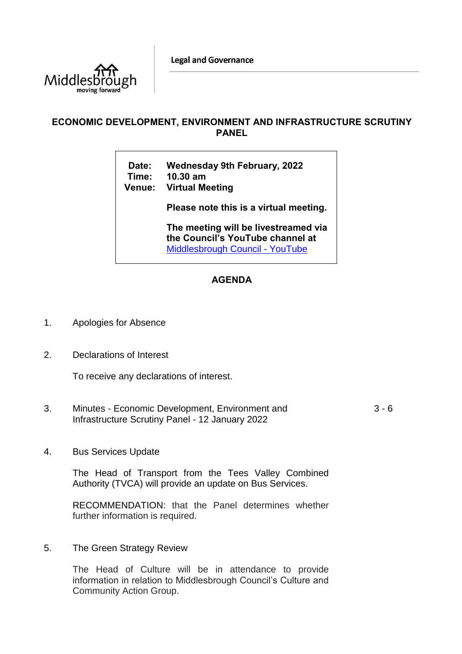**Legal and Governance** 



## **ECONOMIC DEVELOPMENT, ENVIRONMENT AND INFRASTRUCTURE SCRUTINY PANEL**

**Date: Wednesday 9th February, 2022 Time: 10.30 am**

**Venue: Virtual Meeting**

**Please note this is a virtual meeting.** 

**The meeting will be livestreamed via the Council's YouTube channel at**  [Middlesbrough Council -](https://www.youtube.com/user/middlesbroughcouncil) YouTube

## **AGENDA**

- 1. Apologies for Absence
- 2. Declarations of Interest

To receive any declarations of interest.

- 3. Minutes Economic Development, Environment and Infrastructure Scrutiny Panel - 12 January 2022  $3 - 6$
- 4. Bus Services Update

The Head of Transport from the Tees Valley Combined Authority (TVCA) will provide an update on Bus Services.

RECOMMENDATION: that the Panel determines whether further information is required.

5. The Green Strategy Review

The Head of Culture will be in attendance to provide information in relation to Middlesbrough Council's Culture and Community Action Group.